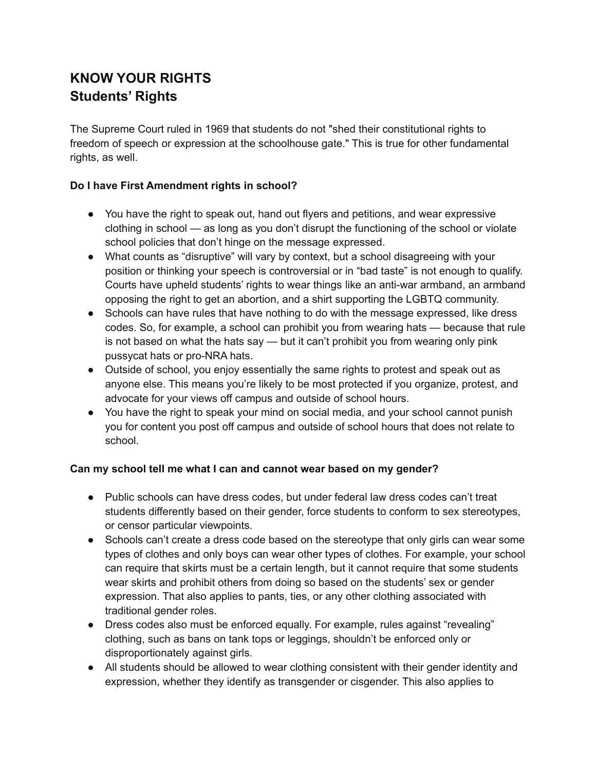# **KNOW YOUR RIGHTS Students' Rights**

The Supreme Court ruled in 1969 that students do not "shed their constitutional rights to freedom of speech or expression at the schoolhouse gate." This is true for other fundamental rights, as well.

#### **Do I have First Amendment rights in school?**

- You have the right to speak out, hand out flyers and petitions, and wear expressive clothing in school — as long as you don't disrupt the functioning of the school or violate school policies that don't hinge on the message expressed.
- What counts as "disruptive" will vary by context, but a school disagreeing with your position or thinking your speech is controversial or in "bad taste" is not enough to qualify. Courts have upheld students' rights to wear things like an anti-war armband, an armband opposing the right to get an abortion, and a shirt supporting the LGBTQ community.
- Schools can have rules that have nothing to do with the message expressed, like dress codes. So, for example, a school can prohibit you from wearing hats — because that rule is not based on what the hats say — but it can't prohibit you from wearing only pink pussycat hats or pro-NRA hats.
- Outside of school, you enjoy essentially the same rights to protest and speak out as anyone else. This means you're likely to be most protected if you organize, protest, and advocate for your views off campus and outside of school hours.
- You have the right to speak your mind on social media, and your school cannot punish you for content you post off campus and outside of school hours that does not relate to school.

#### **Can my school tell me what I can and cannot wear based on my gender?**

- Public schools can have dress codes, but under federal law dress codes can't treat students differently based on their gender, force students to conform to sex stereotypes, or censor particular viewpoints.
- Schools can't create a dress code based on the stereotype that only girls can wear some types of clothes and only boys can wear other types of clothes. For example, your school can require that skirts must be a certain length, but it cannot require that some students wear skirts and prohibit others from doing so based on the students' sex or gender expression. That also applies to pants, ties, or any other clothing associated with traditional gender roles.
- Dress codes also must be enforced equally. For example, rules against "revealing" clothing, such as bans on tank tops or leggings, shouldn't be enforced only or disproportionately against girls.
- All students should be allowed to wear clothing consistent with their gender identity and expression, whether they identify as transgender or cisgender. This also applies to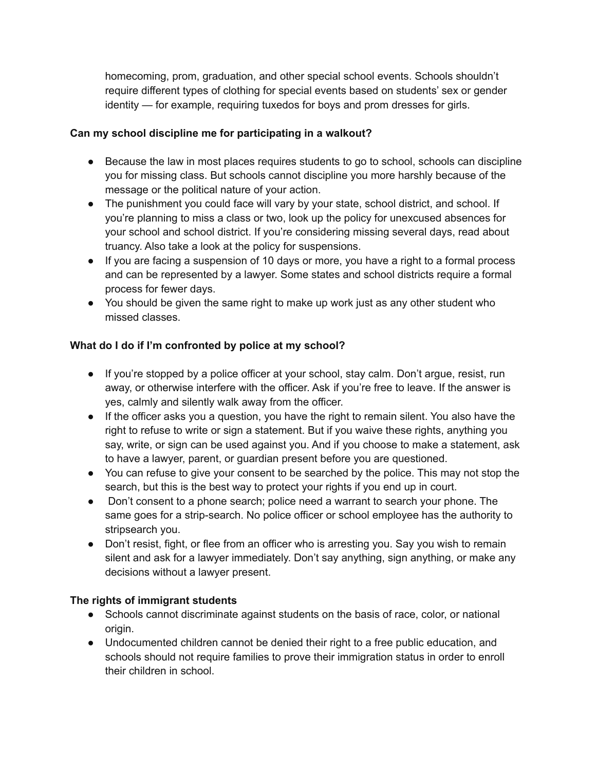homecoming, prom, graduation, and other special school events. Schools shouldn't require different types of clothing for special events based on students' sex or gender identity — for example, requiring tuxedos for boys and prom dresses for girls.

#### **Can my school discipline me for participating in a walkout?**

- Because the law in most places requires students to go to school, schools can discipline you for missing class. But schools cannot discipline you more harshly because of the message or the political nature of your action.
- The punishment you could face will vary by your state, school district, and school. If you're planning to miss a class or two, look up the policy for unexcused absences for your school and school district. If you're considering missing several days, read about truancy. Also take a look at the policy for suspensions.
- If you are facing a suspension of 10 days or more, you have a right to a formal process and can be represented by a lawyer. Some states and school districts require a formal process for fewer days.
- You should be given the same right to make up work just as any other student who missed classes.

## **What do I do if I'm confronted by police at my school?**

- If you're stopped by a police officer at your school, stay calm. Don't argue, resist, run away, or otherwise interfere with the officer. Ask if you're free to leave. If the answer is yes, calmly and silently walk away from the officer.
- If the officer asks you a question, you have the right to remain silent. You also have the right to refuse to write or sign a statement. But if you waive these rights, anything you say, write, or sign can be used against you. And if you choose to make a statement, ask to have a lawyer, parent, or guardian present before you are questioned.
- You can refuse to give your consent to be searched by the police. This may not stop the search, but this is the best way to protect your rights if you end up in court.
- Don't consent to a phone search; police need a warrant to search your phone. The same goes for a strip-search. No police officer or school employee has the authority to stripsearch you.
- Don't resist, fight, or flee from an officer who is arresting you. Say you wish to remain silent and ask for a lawyer immediately. Don't say anything, sign anything, or make any decisions without a lawyer present.

#### **The rights of immigrant students**

- Schools cannot discriminate against students on the basis of race, color, or national origin.
- Undocumented children cannot be denied their right to a free public education, and schools should not require families to prove their immigration status in order to enroll their children in school.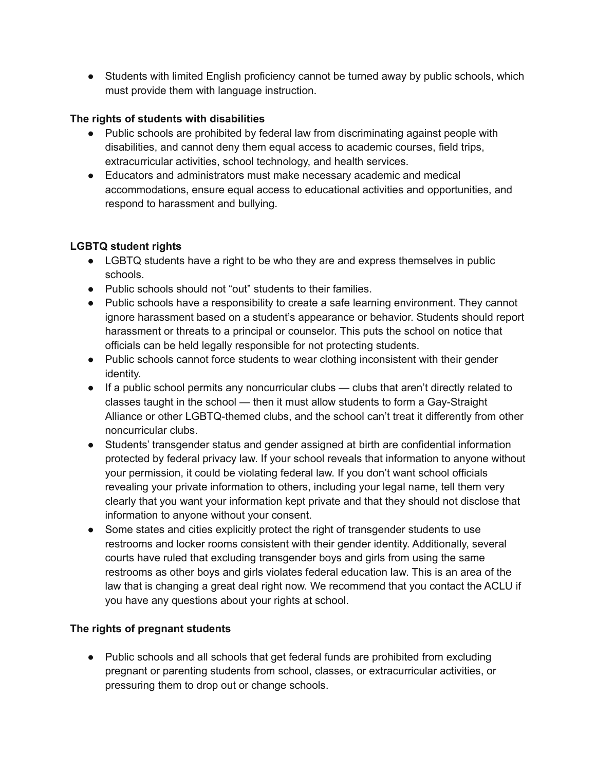• Students with limited English proficiency cannot be turned away by public schools, which must provide them with language instruction.

#### **The rights of students with disabilities**

- Public schools are prohibited by federal law from discriminating against people with disabilities, and cannot deny them equal access to academic courses, field trips, extracurricular activities, school technology, and health services.
- Educators and administrators must make necessary academic and medical accommodations, ensure equal access to educational activities and opportunities, and respond to harassment and bullying.

## **LGBTQ student rights**

- LGBTQ students have a right to be who they are and express themselves in public schools.
- Public schools should not "out" students to their families.
- Public schools have a responsibility to create a safe learning environment. They cannot ignore harassment based on a student's appearance or behavior. Students should report harassment or threats to a principal or counselor. This puts the school on notice that officials can be held legally responsible for not protecting students.
- Public schools cannot force students to wear clothing inconsistent with their gender identity.
- If a public school permits any noncurricular clubs clubs that aren't directly related to classes taught in the school — then it must allow students to form a Gay-Straight Alliance or other LGBTQ-themed clubs, and the school can't treat it differently from other noncurricular clubs.
- Students' transgender status and gender assigned at birth are confidential information protected by federal privacy law. If your school reveals that information to anyone without your permission, it could be violating federal law. If you don't want school officials revealing your private information to others, including your legal name, tell them very clearly that you want your information kept private and that they should not disclose that information to anyone without your consent.
- Some states and cities explicitly protect the right of transgender students to use restrooms and locker rooms consistent with their gender identity. Additionally, several courts have ruled that excluding transgender boys and girls from using the same restrooms as other boys and girls violates federal education law. This is an area of the law that is changing a great deal right now. We recommend that you contact the ACLU if you have any questions about your rights at school.

## **The rights of pregnant students**

● Public schools and all schools that get federal funds are prohibited from excluding pregnant or parenting students from school, classes, or extracurricular activities, or pressuring them to drop out or change schools.